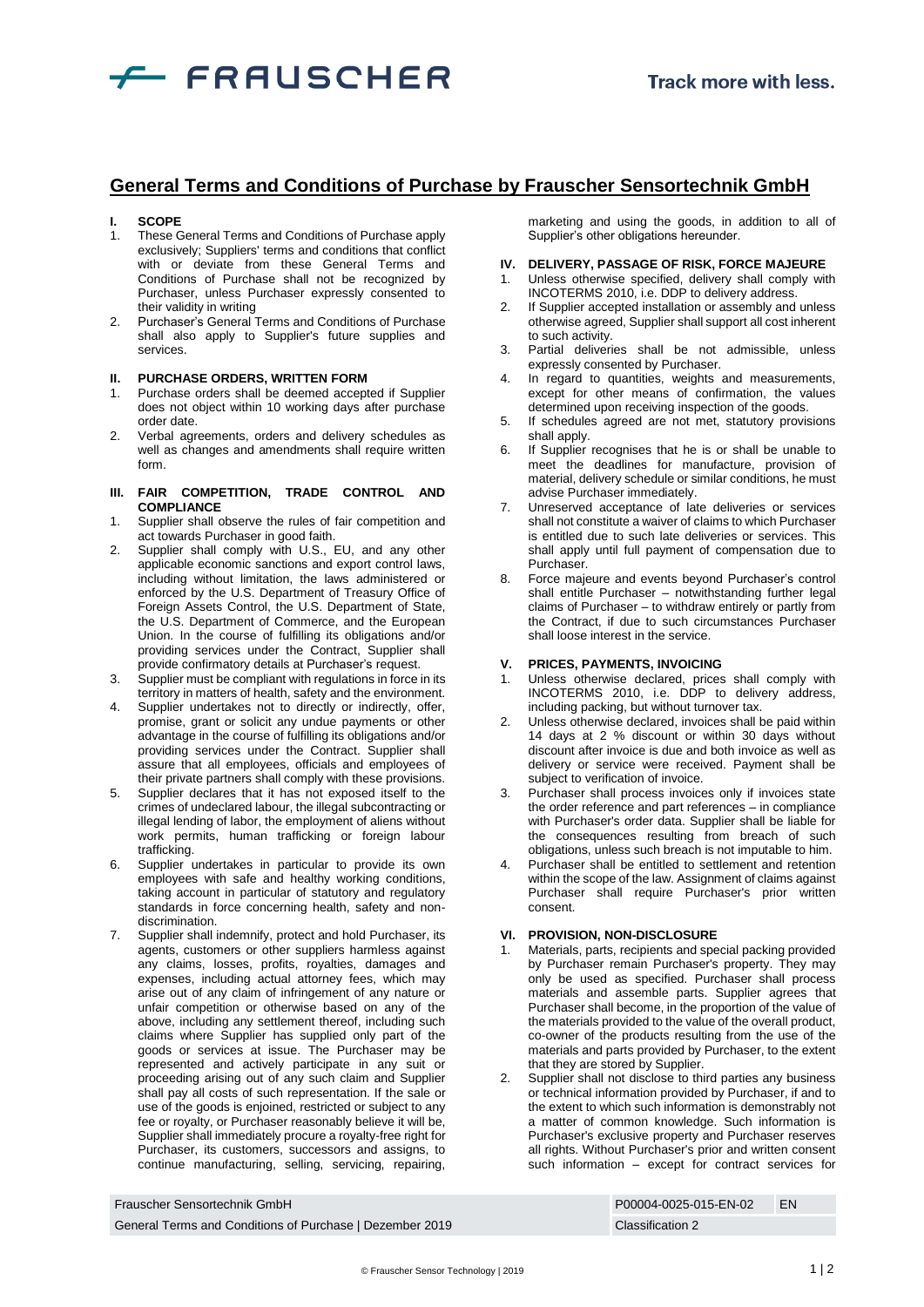

# **General Terms and Conditions of Purchase by Frauscher Sensortechnik GmbH**

## **I. SCOPE**

- 1. These General Terms and Conditions of Purchase apply exclusively; Suppliers' terms and conditions that conflict with or deviate from these General Terms and Conditions of Purchase shall not be recognized by Purchaser, unless Purchaser expressly consented to their validity in writing
- Purchaser's General Terms and Conditions of Purchase shall also apply to Supplier's future supplies and services.

#### **II. PURCHASE ORDERS, WRITTEN FORM**

- Purchase orders shall be deemed accepted if Supplier does not object within 10 working days after purchase order date.
- 2. Verbal agreements, orders and delivery schedules as well as changes and amendments shall require written form.

#### **III. FAIR COMPETITION, TRADE CONTROL AND COMPLIANCE**

- 1. Supplier shall observe the rules of fair competition and act towards Purchaser in good faith.
- 2. Supplier shall comply with U.S., EU, and any other applicable economic sanctions and export control laws, including without limitation, the laws administered or enforced by the U.S. Department of Treasury Office of Foreign Assets Control, the U.S. Department of State, the U.S. Department of Commerce, and the European Union. In the course of fulfilling its obligations and/or providing services under the Contract, Supplier shall provide confirmatory details at Purchaser's request.
- 3. Supplier must be compliant with regulations in force in its territory in matters of health, safety and the environment.
- 4. Supplier undertakes not to directly or indirectly, offer, promise, grant or solicit any undue payments or other advantage in the course of fulfilling its obligations and/or providing services under the Contract. Supplier shall assure that all employees, officials and employees of their private partners shall comply with these provisions.
- Supplier declares that it has not exposed itself to the crimes of undeclared labour, the illegal subcontracting or illegal lending of labor, the employment of aliens without work permits, human trafficking or foreign labour trafficking.
- 6. Supplier undertakes in particular to provide its own employees with safe and healthy working conditions, taking account in particular of statutory and regulatory standards in force concerning health, safety and nondiscrimination.
- 7. Supplier shall indemnify, protect and hold Purchaser, its agents, customers or other suppliers harmless against any claims, losses, profits, royalties, damages and expenses, including actual attorney fees, which may arise out of any claim of infringement of any nature or unfair competition or otherwise based on any of the above, including any settlement thereof, including such claims where Supplier has supplied only part of the goods or services at issue. The Purchaser may be represented and actively participate in any suit or proceeding arising out of any such claim and Supplier shall pay all costs of such representation. If the sale or use of the goods is enjoined, restricted or subject to any fee or royalty, or Purchaser reasonably believe it will be, Supplier shall immediately procure a royalty-free right for Purchaser, its customers, successors and assigns, to continue manufacturing, selling, servicing, repairing,

marketing and using the goods, in addition to all of Supplier's other obligations hereunder.

### **IV. DELIVERY, PASSAGE OF RISK, FORCE MAJEURE**

- 1. Unless otherwise specified, delivery shall comply with INCOTERMS 2010, i.e. DDP to delivery address.
- 2. If Supplier accepted installation or assembly and unless otherwise agreed, Supplier shall support all cost inherent to such activity.
- 3. Partial deliveries shall be not admissible, unless expressly consented by Purchaser.
- 4. In regard to quantities, weights and measurements, except for other means of confirmation, the values determined upon receiving inspection of the goods.
- 5. If schedules agreed are not met, statutory provisions shall apply.
- 6. If Supplier recognises that he is or shall be unable to meet the deadlines for manufacture, provision of material, delivery schedule or similar conditions, he must advise Purchaser immediately.
- 7. Unreserved acceptance of late deliveries or services shall not constitute a waiver of claims to which Purchaser is entitled due to such late deliveries or services. This shall apply until full payment of compensation due to Purchaser.
- 8. Force majeure and events beyond Purchaser's control shall entitle Purchaser – notwithstanding further legal claims of Purchaser – to withdraw entirely or partly from the Contract, if due to such circumstances Purchaser shall loose interest in the service.

# **V. PRICES, PAYMENTS, INVOICING**

- Unless otherwise declared, prices shall comply with INCOTERMS 2010, i.e. DDP to delivery address, including packing, but without turnover tax.
- 2. Unless otherwise declared, invoices shall be paid within 14 days at 2 % discount or within 30 days without discount after invoice is due and both invoice as well as delivery or service were received. Payment shall be subject to verification of invoice.
- Purchaser shall process invoices only if invoices state the order reference and part references – in compliance with Purchaser's order data. Supplier shall be liable for the consequences resulting from breach of such obligations, unless such breach is not imputable to him.
- 4. Purchaser shall be entitled to settlement and retention within the scope of the law. Assignment of claims against Purchaser shall require Purchaser's prior written consent.

## **VI. PROVISION, NON-DISCLOSURE**

- Materials, parts, recipients and special packing provided by Purchaser remain Purchaser's property. They may only be used as specified. Purchaser shall process materials and assemble parts. Supplier agrees that Purchaser shall become, in the proportion of the value of the materials provided to the value of the overall product, co-owner of the products resulting from the use of the materials and parts provided by Purchaser, to the extent that they are stored by Supplier.
- <span id="page-0-0"></span>2. Supplier shall not disclose to third parties any business or technical information provided by Purchaser, if and to the extent to which such information is demonstrably not a matter of common knowledge. Such information is Purchaser's exclusive property and Purchaser reserves all rights. Without Purchaser's prior and written consent such information – except for contract services for

| Frauscher Sensortechnik GmbH                             | P00004-0025-015-EN-02 | <b>FN</b> |
|----------------------------------------------------------|-----------------------|-----------|
| General Terms and Conditions of Purchase   Dezember 2019 | Classification 2      |           |